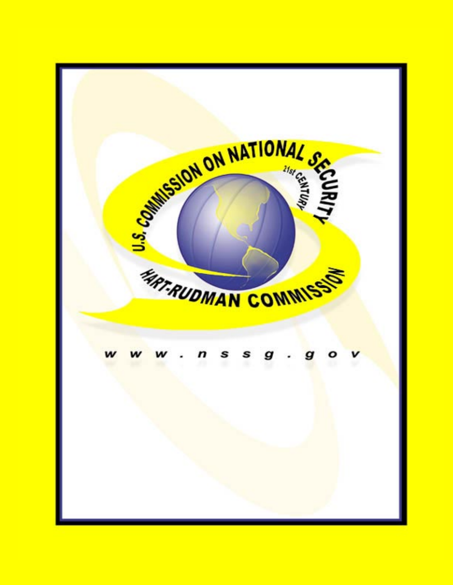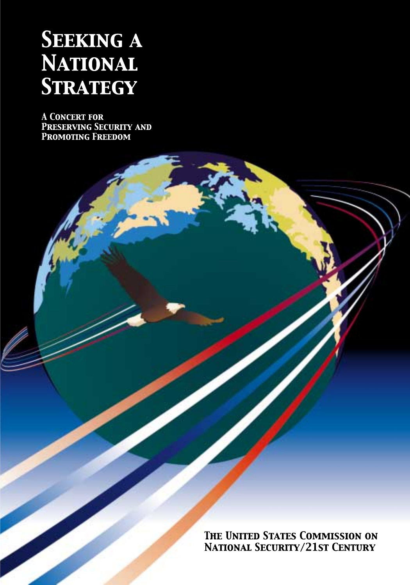# **SEEKING A NATIONAL STRATEGY**

**A CONCERT FOR** PRESERVING SECURITY AND PROMOTING FREEDOM

> THE UNITED STATES COMMISSION ON **NATIONAL SECURITY/21ST CENTURY**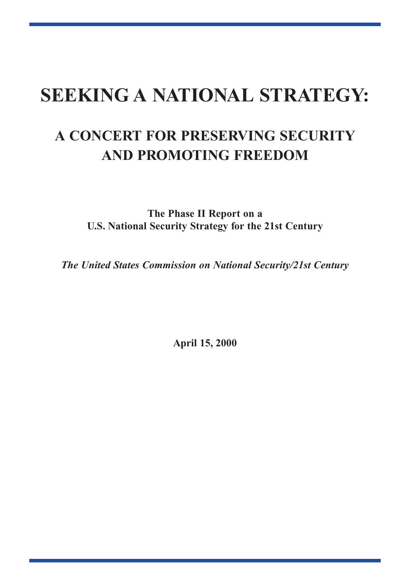## **SEEKING A NATIONAL STRATEGY:**

## **A CONCERT FOR PRESERVING SECURITY AND PROMOTING FREEDOM**

**The Phase II Report on a U.S. National Security Strategy for the 21st Century**

*The United States Commission on National Security/21st Century*

**April 15, 2000**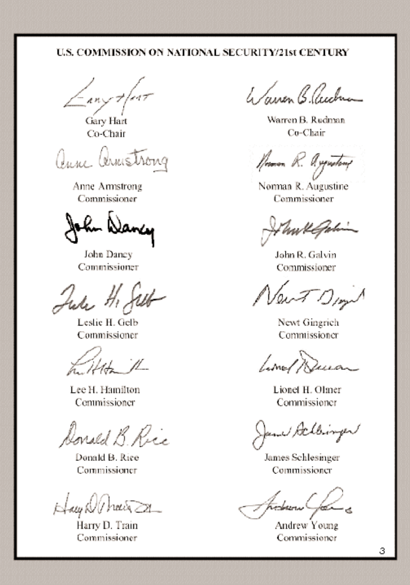### U.S. COMMISSION ON NATIONAL SECURITY/21st CENTURY

 $\frac{1}{2}$  any + fear

Gary Hart Co-Chair

anne annstrong

Anne Armstrong Commissioner

John Dancy Commissioner

July H. Jell

Leslie H. Gelb Commissioner

Killton 1

Lee H. Hamilton Commissioner

Donald B. Rice

Donald B. Rice Commissioner

Hay NU hair

Harry D. Train Commissioner

le *Tairen Bleich* 

Warren B. Rudman Co-Chair

Neman, R. Asgenting

Norman R. Augustine Commissioner

John R. Galvin Commissioner

New TD,

Newt Gingrich Commissioner

Lime/ Dura

Lionel H. Olmer Commissioner

J Achbinger

James Schlesinger Commissioner

Andrew Young Commissioner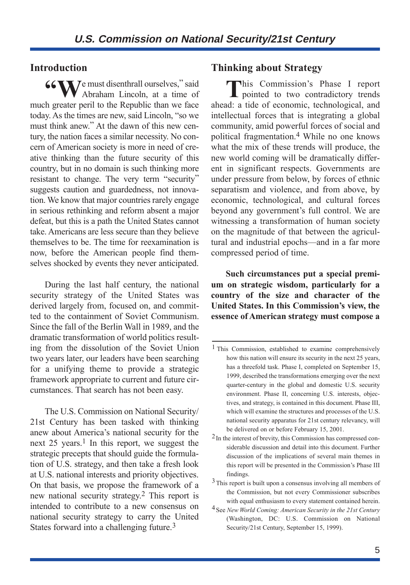#### **Introduction**

**66 W**  $\sqrt{ }$  e must disenthrall ourselves," said Abraham Lincoln, at a time of much greater peril to the Republic than we face today. As the times are new, said Lincoln, "so we must think anew." At the dawn of this new century, the nation faces a similar necessity. No concern of American society is more in need of creative thinking than the future security of this country, but in no domain is such thinking more resistant to change. The very term "security" suggests caution and guardedness, not innovation. We know that major countries rarely engage in serious rethinking and reform absent a major defeat, but this is a path the United States cannot take. Americans are less secure than they believe themselves to be. The time for reexamination is now, before the American people find themselves shocked by events they never anticipated.

During the last half century, the national security strategy of the United States was derived largely from, focused on, and committed to the containment of Soviet Communism. Since the fall of the Berlin Wall in 1989, and the dramatic transformation of world politics resulting from the dissolution of the Soviet Union two years later, our leaders have been searching for a unifying theme to provide a strategic framework appropriate to current and future circumstances. That search has not been easy.

The U.S. Commission on National Security/ 21st Century has been tasked with thinking anew about America's national security for the next 25 years.<sup>1</sup> In this report, we suggest the strategic precepts that should guide the formulation of U.S. strategy, and then take a fresh look at U.S. national interests and priority objectives. On that basis, we propose the framework of a new national security strategy.2 This report is intended to contribute to a new consensus on national security strategy to carry the United States forward into a challenging future.3

#### **Thinking about Strategy**

This Commission's Phase I report **L** pointed to two contradictory trends ahead: a tide of economic, technological, and intellectual forces that is integrating a global community, amid powerful forces of social and political fragmentation.4 While no one knows what the mix of these trends will produce, the new world coming will be dramatically different in significant respects. Governments are under pressure from below, by forces of ethnic separatism and violence, and from above, by economic, technological, and cultural forces beyond any government's full control. We are witnessing a transformation of human society on the magnitude of that between the agricultural and industrial epochs—and in a far more compressed period of time.

**Such circumstances put a special premium on strategic wisdom, particularly for a country of the size and character of the United States. In this Commission's view, the essence of American strategy must compose a**

<sup>1</sup> This Commission, established to examine comprehensively how this nation will ensure its security in the next 25 years, has a threefold task. Phase I, completed on September 15, 1999, described the transformations emerging over the next quarter-century in the global and domestic U.S. security environment. Phase II, concerning U.S. interests, objectives, and strategy, is contained in this document. Phase III, which will examine the structures and processes of the U.S. national security apparatus for 21st century relevancy, will be delivered on or before February 15, 2001.

<sup>2</sup>In the interest of brevity, this Commission has compressed considerable discussion and detail into this document. Further discussion of the implications of several main themes in this report will be presented in the Commission's Phase III findings.

<sup>3</sup>This report is built upon a consensus involving all members of the Commission, but not every Commissioner subscribes with equal enthusiasm to every statement contained herein.

<sup>4</sup>See *New World Coming: American Security in the 21st Century* (Washington, DC: U.S. Commission on National Security/21st Century, September 15, 1999).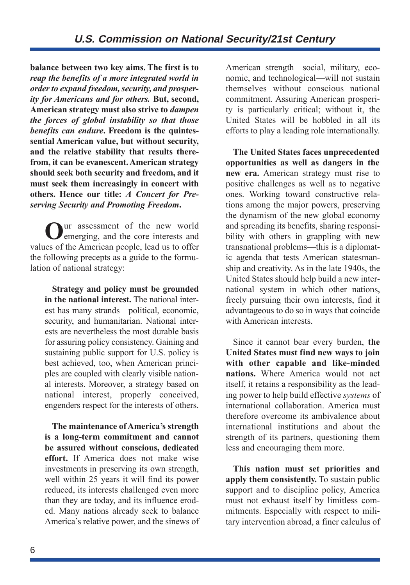**balance between two key aims. The first is to** *reap the benefits of a more integrated world in order to expand freedom, security, and prosperity for Americans and for others.* **But, second, American strategy must also strive to** *dampen the forces of global instability so that those benefits can endure***. Freedom is the quintessential American value, but without security, and the relative stability that results therefrom, it can be evanescent.American strategy should seek both security and freedom, and it must seek them increasingly in concert with others. Hence our title:** *A Concert for Preserving Security and Promoting Freedom***.**

**O**ur assessment of the new world emerging, and the core interests and values of the American people, lead us to offer the following precepts as a guide to the formulation of national strategy:

**Strategy and policy must be grounded in the national interest.** The national interest has many strands—political, economic, security, and humanitarian. National interests are nevertheless the most durable basis for assuring policy consistency. Gaining and sustaining public support for U.S. policy is best achieved, too, when American principles are coupled with clearly visible national interests. Moreover, a strategy based on national interest, properly conceived, engenders respect for the interests of others.

**The maintenance of America's strength is a long-term commitment and cannot be assured without conscious, dedicated effort.** If America does not make wise investments in preserving its own strength, well within 25 years it will find its power reduced, its interests challenged even more than they are today, and its influence eroded. Many nations already seek to balance America's relative power, and the sinews of

American strength—social, military, economic, and technological—will not sustain themselves without conscious national commitment. Assuring American prosperity is particularly critical; without it, the United States will be hobbled in all its efforts to play a leading role internationally.

**The United States faces unprecedented opportunities as well as dangers in the new era.** American strategy must rise to positive challenges as well as to negative ones. Working toward constructive relations among the major powers, preserving the dynamism of the new global economy and spreading its benefits, sharing responsibility with others in grappling with new transnational problems—this is a diplomatic agenda that tests American statesmanship and creativity. As in the late 1940s, the United States should help build a new international system in which other nations, freely pursuing their own interests, find it advantageous to do so in ways that coincide with American interests.

Since it cannot bear every burden, **the United States must find new ways to join with other capable and like-minded nations.** Where America would not act itself, it retains a responsibility as the leading power to help build effective *systems* of international collaboration. America must therefore overcome its ambivalence about international institutions and about the strength of its partners, questioning them less and encouraging them more.

**This nation must set priorities and apply them consistently.** To sustain public support and to discipline policy, America must not exhaust itself by limitless commitments. Especially with respect to military intervention abroad, a finer calculus of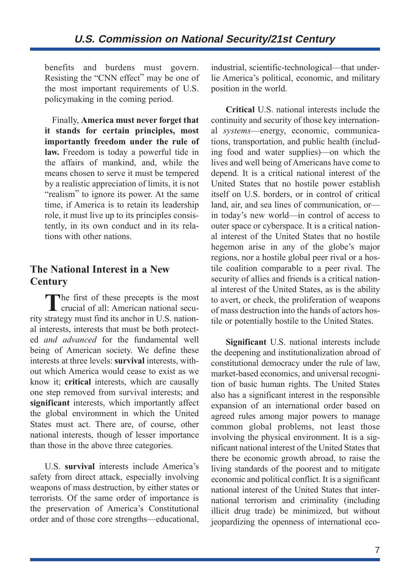benefits and burdens must govern. Resisting the "CNN effect" may be one of the most important requirements of U.S. policymaking in the coming period.

Finally, **America must never forget that it stands for certain principles, most importantly freedom under the rule of law.** Freedom is today a powerful tide in the affairs of mankind, and, while the means chosen to serve it must be tempered by a realistic appreciation of limits, it is not "realism" to ignore its power. At the same time, if America is to retain its leadership role, it must live up to its principles consistently, in its own conduct and in its relations with other nations.

## **The National Interest in a New Century**

The first of these precepts is the most<br>crucial of all: American national security strategy must find its anchor in U.S. national interests, interests that must be both protected *and advanced* for the fundamental well being of American society. We define these interests at three levels: **survival** interests, without which America would cease to exist as we know it; **critical** interests, which are causally one step removed from survival interests; and **significant** interests, which importantly affect the global environment in which the United States must act. There are, of course, other national interests, though of lesser importance than those in the above three categories.

U.S. **survival** interests include America's safety from direct attack, especially involving weapons of mass destruction, by either states or terrorists. Of the same order of importance is the preservation of America's Constitutional order and of those core strengths—educational,

industrial, scientific-technological—that underlie America's political, economic, and military position in the world.

**Critical** U.S. national interests include the continuity and security of those key international *systems*—energy, economic, communications, transportation, and public health (including food and water supplies)—on which the lives and well being of Americans have come to depend. It is a critical national interest of the United States that no hostile power establish itself on U.S. borders, or in control of critical land, air, and sea lines of communication, or in today's new world—in control of access to outer space or cyberspace. It is a critical national interest of the United States that no hostile hegemon arise in any of the globe's major regions, nor a hostile global peer rival or a hostile coalition comparable to a peer rival. The security of allies and friends is a critical national interest of the United States, as is the ability to avert, or check, the proliferation of weapons of mass destruction into the hands of actors hostile or potentially hostile to the United States.

**Significant** U.S. national interests include the deepening and institutionalization abroad of constitutional democracy under the rule of law, market-based economics, and universal recognition of basic human rights. The United States also has a significant interest in the responsible expansion of an international order based on agreed rules among major powers to manage common global problems, not least those involving the physical environment. It is a significant national interest of the United States that there be economic growth abroad, to raise the living standards of the poorest and to mitigate economic and political conflict. It is a significant national interest of the United States that international terrorism and criminality (including illicit drug trade) be minimized, but without jeopardizing the openness of international eco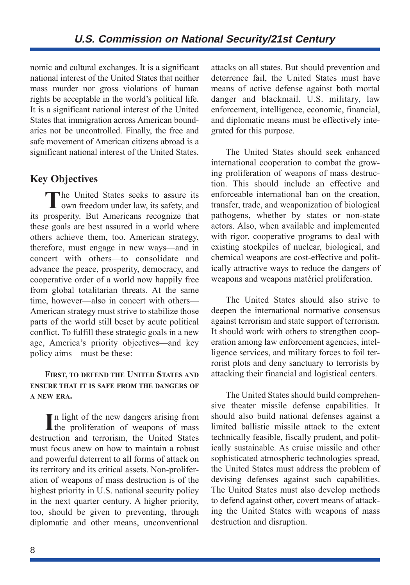nomic and cultural exchanges. It is a significant national interest of the United States that neither mass murder nor gross violations of human rights be acceptable in the world's political life. It is a significant national interest of the United States that immigration across American boundaries not be uncontrolled. Finally, the free and safe movement of American citizens abroad is a significant national interest of the United States.

## **Key Objectives**

The United States seeks to assure its<br>own freedom under law, its safety, and its prosperity. But Americans recognize that these goals are best assured in a world where others achieve them, too. American strategy, therefore, must engage in new ways—and in concert with others—to consolidate and advance the peace, prosperity, democracy, and cooperative order of a world now happily free from global totalitarian threats. At the same time, however—also in concert with others— American strategy must strive to stabilize those parts of the world still beset by acute political conflict. To fulfill these strategic goals in a new age, America's priority objectives—and key policy aims—must be these:

#### **FIRST, TO DEFEND THE UNITED STATES AND ENSURE THAT IT IS SAFE FROM THE DANGERS OF A NEW ERA.**

In light of the new dangers arising from<br>the proliferation of weapons of mass the proliferation of weapons of mass destruction and terrorism, the United States must focus anew on how to maintain a robust and powerful deterrent to all forms of attack on its territory and its critical assets. Non-proliferation of weapons of mass destruction is of the highest priority in U.S. national security policy in the next quarter century. A higher priority, too, should be given to preventing, through diplomatic and other means, unconventional

attacks on all states. But should prevention and deterrence fail, the United States must have means of active defense against both mortal danger and blackmail. U.S. military, law enforcement, intelligence, economic, financial, and diplomatic means must be effectively integrated for this purpose.

The United States should seek enhanced international cooperation to combat the growing proliferation of weapons of mass destruction. This should include an effective and enforceable international ban on the creation, transfer, trade, and weaponization of biological pathogens, whether by states or non-state actors. Also, when available and implemented with rigor, cooperative programs to deal with existing stockpiles of nuclear, biological, and chemical weapons are cost-effective and politically attractive ways to reduce the dangers of weapons and weapons matériel proliferation.

The United States should also strive to deepen the international normative consensus against terrorism and state support of terrorism. It should work with others to strengthen cooperation among law enforcement agencies, intelligence services, and military forces to foil terrorist plots and deny sanctuary to terrorists by attacking their financial and logistical centers.

The United States should build comprehensive theater missile defense capabilities. It should also build national defenses against a limited ballistic missile attack to the extent technically feasible, fiscally prudent, and politically sustainable. As cruise missile and other sophisticated atmospheric technologies spread, the United States must address the problem of devising defenses against such capabilities. The United States must also develop methods to defend against other, covert means of attacking the United States with weapons of mass destruction and disruption.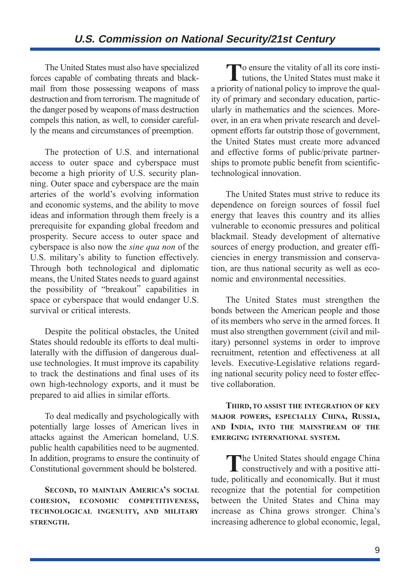The United States must also have specialized forces capable of combating threats and blackmail from those possessing weapons of mass destruction and from terrorism. The magnitude of the danger posed by weapons of mass destruction compels this nation, as well, to consider carefully the means and circumstances of preemption.

The protection of U.S. and international access to outer space and cyberspace must become a high priority of U.S. security planning. Outer space and cyberspace are the main arteries of the world's evolving information and economic systems, and the ability to move ideas and information through them freely is a prerequisite for expanding global freedom and prosperity. Secure access to outer space and cyberspace is also now the *sine qua non* of the U.S. military's ability to function effectively. Through both technological and diplomatic means, the United States needs to guard against the possibility of "breakout" capabilities in space or cyberspace that would endanger U.S. survival or critical interests.

Despite the political obstacles, the United States should redouble its efforts to deal multilaterally with the diffusion of dangerous dualuse technologies. It must improve its capability to track the destinations and final uses of its own high-technology exports, and it must be prepared to aid allies in similar efforts.

To deal medically and psychologically with potentially large losses of American lives in attacks against the American homeland, U.S. public health capabilities need to be augmented. In addition, programs to ensure the continuity of Constitutional government should be bolstered.

**SECOND, TO MAINTAIN AMERICA'S SOCIAL COHESION, ECONOMIC COMPETITIVENESS, TECHNOLOGICAL INGENUITY, AND MILITARY STRENGTH.**

To ensure the vitality of all its core institutions, the United States must make it a priority of national policy to improve the quality of primary and secondary education, particularly in mathematics and the sciences. Moreover, in an era when private research and development efforts far outstrip those of government, the United States must create more advanced and effective forms of public/private partnerships to promote public benefit from scientifictechnological innovation.

The United States must strive to reduce its dependence on foreign sources of fossil fuel energy that leaves this country and its allies vulnerable to economic pressures and political blackmail. Steady development of alternative sources of energy production, and greater efficiencies in energy transmission and conservation, are thus national security as well as economic and environmental necessities.

The United States must strengthen the bonds between the American people and those of its members who serve in the armed forces. It must also strengthen government (civil and military) personnel systems in order to improve recruitment, retention and effectiveness at all levels. Executive-Legislative relations regarding national security policy need to foster effective collaboration.

#### **THIRD, TO ASSIST THE INTEGRATION OF KEY MAJOR POWERS, ESPECIALLY CHINA, RUSSIA, AND INDIA, INTO THE MAINSTREAM OF THE EMERGING INTERNATIONAL SYSTEM.**

The United States should engage China<br>
constructively and with a positive attitude, politically and economically. But it must recognize that the potential for competition between the United States and China may increase as China grows stronger. China's increasing adherence to global economic, legal,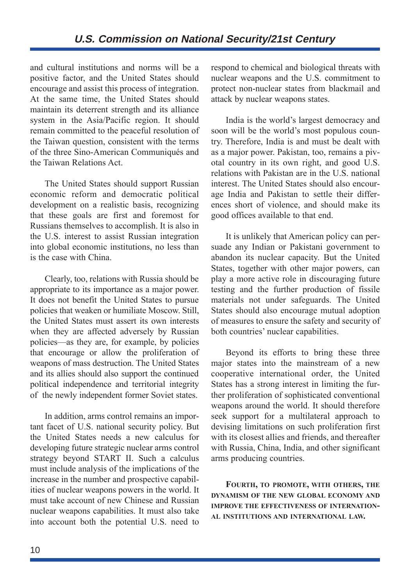and cultural institutions and norms will be a positive factor, and the United States should encourage and assist this process of integration. At the same time, the United States should maintain its deterrent strength and its alliance system in the Asia/Pacific region. It should remain committed to the peaceful resolution of the Taiwan question, consistent with the terms of the three Sino-American Communiqués and the Taiwan Relations Act.

The United States should support Russian economic reform and democratic political development on a realistic basis, recognizing that these goals are first and foremost for Russians themselves to accomplish. It is also in the U.S. interest to assist Russian integration into global economic institutions, no less than is the case with China.

Clearly, too, relations with Russia should be appropriate to its importance as a major power. It does not benefit the United States to pursue policies that weaken or humiliate Moscow. Still, the United States must assert its own interests when they are affected adversely by Russian policies—as they are, for example, by policies that encourage or allow the proliferation of weapons of mass destruction. The United States and its allies should also support the continued political independence and territorial integrity of the newly independent former Soviet states.

In addition, arms control remains an important facet of U.S. national security policy. But the United States needs a new calculus for developing future strategic nuclear arms control strategy beyond START II. Such a calculus must include analysis of the implications of the increase in the number and prospective capabilities of nuclear weapons powers in the world. It must take account of new Chinese and Russian nuclear weapons capabilities. It must also take into account both the potential U.S. need to respond to chemical and biological threats with nuclear weapons and the U.S. commitment to protect non-nuclear states from blackmail and attack by nuclear weapons states.

India is the world's largest democracy and soon will be the world's most populous country. Therefore, India is and must be dealt with as a major power. Pakistan, too, remains a pivotal country in its own right, and good U.S. relations with Pakistan are in the U.S. national interest. The United States should also encourage India and Pakistan to settle their differences short of violence, and should make its good offices available to that end.

It is unlikely that American policy can persuade any Indian or Pakistani government to abandon its nuclear capacity. But the United States, together with other major powers, can play a more active role in discouraging future testing and the further production of fissile materials not under safeguards. The United States should also encourage mutual adoption of measures to ensure the safety and security of both countries' nuclear capabilities.

Beyond its efforts to bring these three major states into the mainstream of a new cooperative international order, the United States has a strong interest in limiting the further proliferation of sophisticated conventional weapons around the world. It should therefore seek support for a multilateral approach to devising limitations on such proliferation first with its closest allies and friends, and thereafter with Russia, China, India, and other significant arms producing countries.

**FOURTH, TO PROMOTE, WITH OTHERS, THE DYNAMISM OF THE NEW GLOBAL ECONOMY AND IMPROVE THE EFFECTIVENESS OF INTERNATION-AL INSTITUTIONS AND INTERNATIONAL LAW.**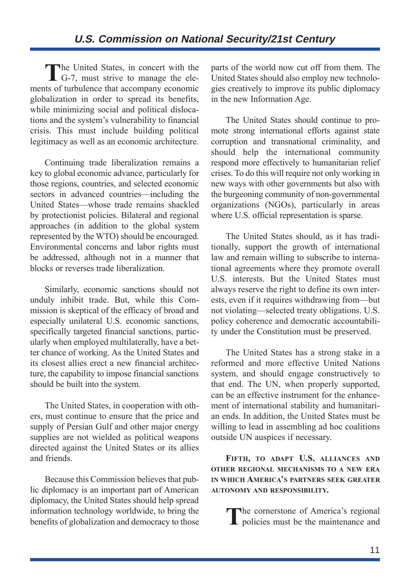The United States, in concert with the G-7, must strive to manage the elements of turbulence that accompany economic globalization in order to spread its benefits, while minimizing social and political dislocations and the system's vulnerability to financial crisis. This must include building political legitimacy as well as an economic architecture.

Continuing trade liberalization remains a key to global economic advance, particularly for those regions, countries, and selected economic sectors in advanced countries—including the United States—whose trade remains shackled by protectionist policies. Bilateral and regional approaches (in addition to the global system represented by the WTO) should be encouraged. Environmental concerns and labor rights must be addressed, although not in a manner that blocks or reverses trade liberalization.

Similarly, economic sanctions should not unduly inhibit trade. But, while this Commission is skeptical of the efficacy of broad and especially unilateral U.S. economic sanctions, specifically targeted financial sanctions, particularly when employed multilaterally, have a better chance of working. As the United States and its closest allies erect a new financial architecture, the capability to impose financial sanctions should be built into the system.

The United States, in cooperation with others, must continue to ensure that the price and supply of Persian Gulf and other major energy supplies are not wielded as political weapons directed against the United States or its allies and friends.

Because this Commission believes that public diplomacy is an important part of American diplomacy, the United States should help spread information technology worldwide, to bring the benefits of globalization and democracy to those

parts of the world now cut off from them. The United States should also employ new technologies creatively to improve its public diplomacy in the new Information Age.

The United States should continue to promote strong international efforts against state corruption and transnational criminality, and should help the international community respond more effectively to humanitarian relief crises. To do this will require not only working in new ways with other governments but also with the burgeoning community of non-governmental organizations (NGOs), particularly in areas where U.S. official representation is sparse.

The United States should, as it has traditionally, support the growth of international law and remain willing to subscribe to international agreements where they promote overall U.S. interests. But the United States must always reserve the right to define its own interests, even if it requires withdrawing from—but not violating—selected treaty obligations. U.S. policy coherence and democratic accountability under the Constitution must be preserved.

The United States has a strong stake in a reformed and more effective United Nations system, and should engage constructively to that end. The UN, when properly supported, can be an effective instrument for the enhancement of international stability and humanitarian ends. In addition, the United States must be willing to lead in assembling ad hoc coalitions outside UN auspices if necessary.

**FIFTH, TO ADAPT U.S. ALLIANCES AND OTHER REGIONAL MECHANISMS TO A NEW ERA IN WHICH AMERICA'S PARTNERS SEEK GREATER AUTONOMY AND RESPONSIBILITY.**

The cornerstone of America's regional<br>policies must be the maintenance and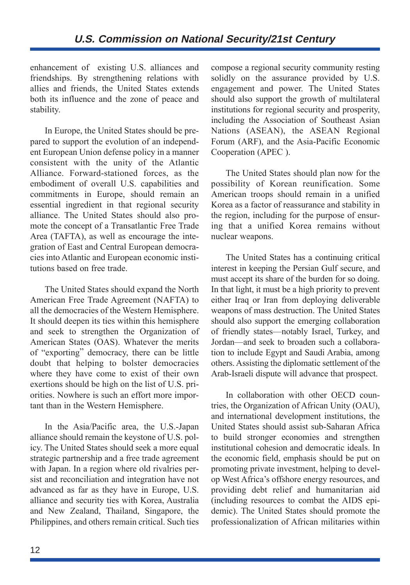enhancement of existing U.S. alliances and friendships. By strengthening relations with allies and friends, the United States extends both its influence and the zone of peace and stability.

In Europe, the United States should be prepared to support the evolution of an independent European Union defense policy in a manner consistent with the unity of the Atlantic Alliance. Forward-stationed forces, as the embodiment of overall U.S. capabilities and commitments in Europe, should remain an essential ingredient in that regional security alliance. The United States should also promote the concept of a Transatlantic Free Trade Area (TAFTA), as well as encourage the integration of East and Central European democracies into Atlantic and European economic institutions based on free trade.

The United States should expand the North American Free Trade Agreement (NAFTA) to all the democracies of the Western Hemisphere. It should deepen its ties within this hemisphere and seek to strengthen the Organization of American States (OAS). Whatever the merits of "exporting" democracy, there can be little doubt that helping to bolster democracies where they have come to exist of their own exertions should be high on the list of U.S. priorities. Nowhere is such an effort more important than in the Western Hemisphere.

In the Asia/Pacific area, the U.S.-Japan alliance should remain the keystone of U.S. policy. The United States should seek a more equal strategic partnership and a free trade agreement with Japan. In a region where old rivalries persist and reconciliation and integration have not advanced as far as they have in Europe, U.S. alliance and security ties with Korea, Australia and New Zealand, Thailand, Singapore, the Philippines, and others remain critical. Such ties

compose a regional security community resting solidly on the assurance provided by U.S. engagement and power. The United States should also support the growth of multilateral institutions for regional security and prosperity, including the Association of Southeast Asian Nations (ASEAN), the ASEAN Regional Forum (ARF), and the Asia-Pacific Economic Cooperation (APEC ).

The United States should plan now for the possibility of Korean reunification. Some American troops should remain in a unified Korea as a factor of reassurance and stability in the region, including for the purpose of ensuring that a unified Korea remains without nuclear weapons.

The United States has a continuing critical interest in keeping the Persian Gulf secure, and must accept its share of the burden for so doing. In that light, it must be a high priority to prevent either Iraq or Iran from deploying deliverable weapons of mass destruction. The United States should also support the emerging collaboration of friendly states—notably Israel, Turkey, and Jordan—and seek to broaden such a collaboration to include Egypt and Saudi Arabia, among others. Assisting the diplomatic settlement of the Arab-Israeli dispute will advance that prospect.

In collaboration with other OECD countries, the Organization of African Unity (OAU), and international development institutions, the United States should assist sub-Saharan Africa to build stronger economies and strengthen institutional cohesion and democratic ideals. In the economic field, emphasis should be put on promoting private investment, helping to develop West Africa's offshore energy resources, and providing debt relief and humanitarian aid (including resources to combat the AIDS epidemic). The United States should promote the professionalization of African militaries within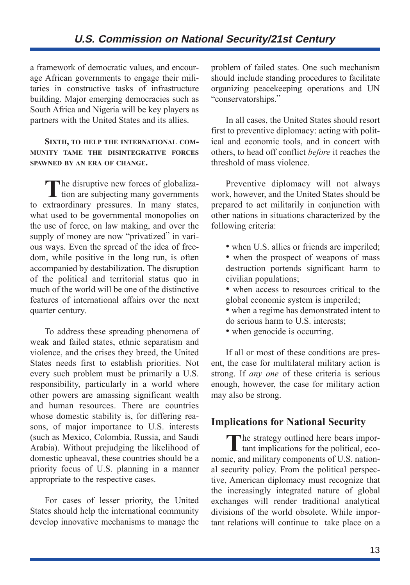## **U.S. Commission on National Security/21st Century**

a framework of democratic values, and encourage African governments to engage their militaries in constructive tasks of infrastructure building. Major emerging democracies such as South Africa and Nigeria will be key players as partners with the United States and its allies.

#### **SIXTH, TO HELP THE INTERNATIONAL COM-MUNITY TAME THE DISINTEGRATIVE FORCES SPAWNED BY AN ERA OF CHANGE.**

The disruptive new forces of globaliza- $\mathsf{L}\,$  tion are subjecting many governments to extraordinary pressures. In many states, what used to be governmental monopolies on the use of force, on law making, and over the supply of money are now "privatized" in various ways. Even the spread of the idea of freedom, while positive in the long run, is often accompanied by destabilization. The disruption of the political and territorial status quo in much of the world will be one of the distinctive features of international affairs over the next quarter century.

To address these spreading phenomena of weak and failed states, ethnic separatism and violence, and the crises they breed, the United States needs first to establish priorities. Not every such problem must be primarily a U.S. responsibility, particularly in a world where other powers are amassing significant wealth and human resources. There are countries whose domestic stability is, for differing reasons, of major importance to U.S. interests (such as Mexico, Colombia, Russia, and Saudi Arabia). Without prejudging the likelihood of domestic upheaval, these countries should be a priority focus of U.S. planning in a manner appropriate to the respective cases.

For cases of lesser priority, the United States should help the international community develop innovative mechanisms to manage the problem of failed states. One such mechanism should include standing procedures to facilitate organizing peacekeeping operations and UN "conservatorships."

In all cases, the United States should resort first to preventive diplomacy: acting with political and economic tools, and in concert with others, to head off conflict *before* it reaches the threshold of mass violence.

Preventive diplomacy will not always work, however, and the United States should be prepared to act militarily in conjunction with other nations in situations characterized by the following criteria:

- when U.S. allies or friends are imperiled;
- when the prospect of weapons of mass destruction portends significant harm to civilian populations;
- when access to resources critical to the global economic system is imperiled;
- when a regime has demonstrated intent to do serious harm to U.S. interests;
- when genocide is occurring.

If all or most of these conditions are present, the case for multilateral military action is strong. If *any one* of these criteria is serious enough, however, the case for military action may also be strong.

#### **Implications for National Security**

The strategy outlined here bears important implications for the political, economic, and military components of U.S. national security policy. From the political perspective, American diplomacy must recognize that the increasingly integrated nature of global exchanges will render traditional analytical divisions of the world obsolete. While important relations will continue to take place on a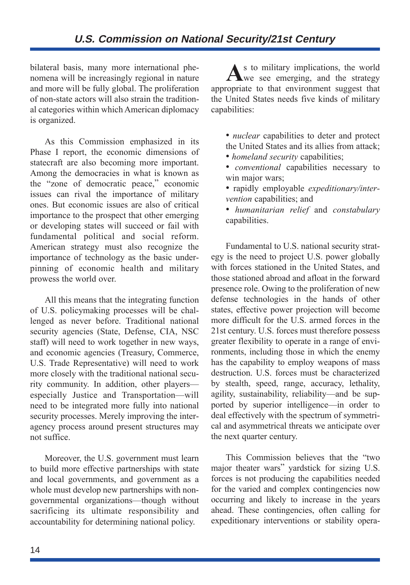## **U.S. Commission on National Security/21st Century**

bilateral basis, many more international phenomena will be increasingly regional in nature and more will be fully global. The proliferation of non-state actors will also strain the traditional categories within which American diplomacy is organized.

As this Commission emphasized in its Phase I report, the economic dimensions of statecraft are also becoming more important. Among the democracies in what is known as the "zone of democratic peace," economic issues can rival the importance of military ones. But economic issues are also of critical importance to the prospect that other emerging or developing states will succeed or fail with fundamental political and social reform. American strategy must also recognize the importance of technology as the basic underpinning of economic health and military prowess the world over.

All this means that the integrating function of U.S. policymaking processes will be challenged as never before. Traditional national security agencies (State, Defense, CIA, NSC staff) will need to work together in new ways, and economic agencies (Treasury, Commerce, U.S. Trade Representative) will need to work more closely with the traditional national security community. In addition, other players especially Justice and Transportation—will need to be integrated more fully into national security processes. Merely improving the interagency process around present structures may not suffice.

Moreover, the U.S. government must learn to build more effective partnerships with state and local governments, and government as a whole must develop new partnerships with nongovernmental organizations—though without sacrificing its ultimate responsibility and accountability for determining national policy.

**A**s to military implications, the world **L**we see emerging, and the strategy appropriate to that environment suggest that the United States needs five kinds of military capabilities:

- *nuclear* capabilities to deter and protect the United States and its allies from attack;
- *homeland security* capabilities;
- *conventional* capabilities necessary to win major wars:
- rapidly employable *expeditionary/intervention* capabilities; and
- *humanitarian relief* and *constabulary* capabilities.

Fundamental to U.S. national security strategy is the need to project U.S. power globally with forces stationed in the United States, and those stationed abroad and afloat in the forward presence role. Owing to the proliferation of new defense technologies in the hands of other states, effective power projection will become more difficult for the U.S. armed forces in the 21st century. U.S. forces must therefore possess greater flexibility to operate in a range of environments, including those in which the enemy has the capability to employ weapons of mass destruction. U.S. forces must be characterized by stealth, speed, range, accuracy, lethality, agility, sustainability, reliability—and be supported by superior intelligence—in order to deal effectively with the spectrum of symmetrical and asymmetrical threats we anticipate over the next quarter century.

This Commission believes that the "two major theater wars" yardstick for sizing U.S. forces is not producing the capabilities needed for the varied and complex contingencies now occurring and likely to increase in the years ahead. These contingencies, often calling for expeditionary interventions or stability opera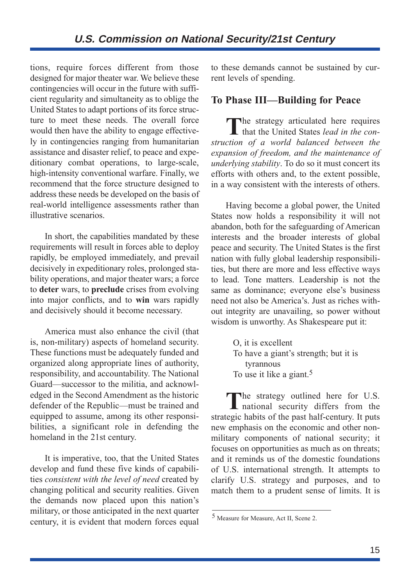tions, require forces different from those designed for major theater war. We believe these contingencies will occur in the future with sufficient regularity and simultaneity as to oblige the United States to adapt portions of its force structure to meet these needs. The overall force would then have the ability to engage effectively in contingencies ranging from humanitarian assistance and disaster relief, to peace and expeditionary combat operations, to large-scale, high-intensity conventional warfare. Finally, we recommend that the force structure designed to address these needs be developed on the basis of real-world intelligence assessments rather than illustrative scenarios.

In short, the capabilities mandated by these requirements will result in forces able to deploy rapidly, be employed immediately, and prevail decisively in expeditionary roles, prolonged stability operations, and major theater wars; a force to **deter** wars, to **preclude** crises from evolving into major conflicts, and to **win** wars rapidly and decisively should it become necessary.

America must also enhance the civil (that is, non-military) aspects of homeland security. These functions must be adequately funded and organized along appropriate lines of authority, responsibility, and accountability. The National Guard—successor to the militia, and acknowledged in the Second Amendment as the historic defender of the Republic—must be trained and equipped to assume, among its other responsibilities, a significant role in defending the homeland in the 21st century.

It is imperative, too, that the United States develop and fund these five kinds of capabilities *consistent with the level of need* created by changing political and security realities. Given the demands now placed upon this nation's military, or those anticipated in the next quarter century, it is evident that modern forces equal to these demands cannot be sustained by current levels of spending.

### **To Phase III—Building for Peace**

The strategy articulated here requires that the United States *lead in the construction of a world balanced between the expansion of freedom, and the maintenance of underlying stability*. To do so it must concert its efforts with others and, to the extent possible, in a way consistent with the interests of others.

Having become a global power, the United States now holds a responsibility it will not abandon, both for the safeguarding of American interests and the broader interests of global peace and security. The United States is the first nation with fully global leadership responsibilities, but there are more and less effective ways to lead. Tone matters. Leadership is not the same as dominance; everyone else's business need not also be America's. Just as riches without integrity are unavailing, so power without wisdom is unworthy. As Shakespeare put it:

> O, it is excellent To have a giant's strength; but it is tyrannous To use it like a giant.<sup>5</sup>

The strategy outlined here for U.S.<br>
national security differs from the strategic habits of the past half-century. It puts new emphasis on the economic and other nonmilitary components of national security; it focuses on opportunities as much as on threats; and it reminds us of the domestic foundations of U.S. international strength. It attempts to clarify U.S. strategy and purposes, and to match them to a prudent sense of limits. It is

<sup>5</sup> Measure for Measure, Act II, Scene 2.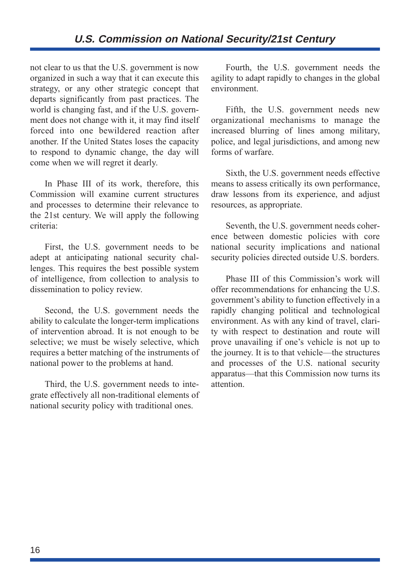## **U.S. Commission on National Security/21st Century**

not clear to us that the U.S. government is now organized in such a way that it can execute this strategy, or any other strategic concept that departs significantly from past practices. The world is changing fast, and if the U.S. government does not change with it, it may find itself forced into one bewildered reaction after another. If the United States loses the capacity to respond to dynamic change, the day will come when we will regret it dearly.

In Phase III of its work, therefore, this Commission will examine current structures and processes to determine their relevance to the 21st century. We will apply the following criteria:

First, the U.S. government needs to be adept at anticipating national security challenges. This requires the best possible system of intelligence, from collection to analysis to dissemination to policy review.

Second, the U.S. government needs the ability to calculate the longer-term implications of intervention abroad. It is not enough to be selective; we must be wisely selective, which requires a better matching of the instruments of national power to the problems at hand.

Third, the U.S. government needs to integrate effectively all non-traditional elements of national security policy with traditional ones.

Fourth, the U.S. government needs the agility to adapt rapidly to changes in the global environment.

Fifth, the U.S. government needs new organizational mechanisms to manage the increased blurring of lines among military, police, and legal jurisdictions, and among new forms of warfare.

Sixth, the U.S. government needs effective means to assess critically its own performance, draw lessons from its experience, and adjust resources, as appropriate.

Seventh, the U.S. government needs coherence between domestic policies with core national security implications and national security policies directed outside U.S. borders.

Phase III of this Commission's work will offer recommendations for enhancing the U.S. government's ability to function effectively in a rapidly changing political and technological environment. As with any kind of travel, clarity with respect to destination and route will prove unavailing if one's vehicle is not up to the journey. It is to that vehicle—the structures and processes of the U.S. national security apparatus—that this Commission now turns its attention.